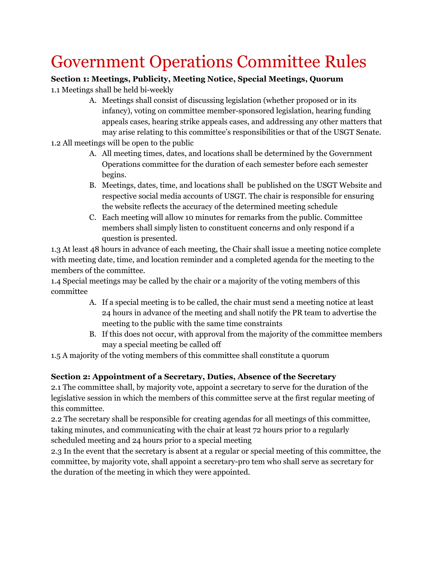# Government Operations Committee Rules

## **Section 1: Meetings, Publicity, Meeting Notice, Special Meetings, Quorum**

1.1 Meetings shall be held bi-weekly

- A. Meetings shall consist of discussing legislation (whether proposed or in its infancy), voting on committee member-sponsored legislation, hearing funding appeals cases, hearing strike appeals cases, and addressing any other matters that may arise relating to this committee's responsibilities or that of the USGT Senate.
- 1.2 All meetings will be open to the public
	- A. All meeting times, dates, and locations shall be determined by the Government Operations committee for the duration of each semester before each semester begins.
	- B. Meetings, dates, time, and locations shall be published on the USGT Website and respective social media accounts of USGT. The chair is responsible for ensuring the website reflects the accuracy of the determined meeting schedule
	- C. Each meeting will allow 10 minutes for remarks from the public. Committee members shall simply listen to constituent concerns and only respond if a question is presented.

1.3 At least 48 hours in advance of each meeting, the Chair shall issue a meeting notice complete with meeting date, time, and location reminder and a completed agenda for the meeting to the members of the committee.

1.4 Special meetings may be called by the chair or a majority of the voting members of this committee

- A. If a special meeting is to be called, the chair must send a meeting notice at least 24 hours in advance of the meeting and shall notify the PR team to advertise the meeting to the public with the same time constraints
- B. If this does not occur, with approval from the majority of the committee members may a special meeting be called off

1.5 A majority of the voting members of this committee shall constitute a quorum

### **Section 2: Appointment of a Secretary, Duties, Absence of the Secretary**

2.1 The committee shall, by majority vote, appoint a secretary to serve for the duration of the legislative session in which the members of this committee serve at the first regular meeting of this committee.

2.2 The secretary shall be responsible for creating agendas for all meetings of this committee, taking minutes, and communicating with the chair at least 72 hours prior to a regularly scheduled meeting and 24 hours prior to a special meeting

2.3 In the event that the secretary is absent at a regular or special meeting of this committee, the committee, by majority vote, shall appoint a secretary-pro tem who shall serve as secretary for the duration of the meeting in which they were appointed.